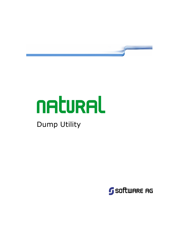

# **NALURAL**

# Dump Utility

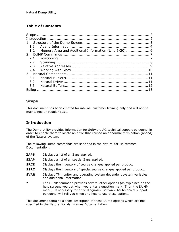# Table of Contents

| 1                                                        |  |
|----------------------------------------------------------|--|
| $1.1 -$                                                  |  |
| 1.2 Memory Area and Additional Information (Line 5-20) 6 |  |
|                                                          |  |
| 2.1                                                      |  |
| $2.2^{\circ}$                                            |  |
| 2.3                                                      |  |
| 2.4                                                      |  |
| 3                                                        |  |
| 3.1                                                      |  |
| 3.2                                                      |  |
| 3.3                                                      |  |
|                                                          |  |

# Scope

This document has been created for internal customer training only and will not be maintained on regular basis.

# **Introduction**

The Dump utility provides information for Software AG technical support personnel in order to enable them to locate an error that caused an abnormal termination (abend) of the Natural system.

The following Dump commands are specified in the Natural for Mainframes Documentation:

- **ZAPS** Displays a list of all Zaps applied.
- **SZAP** Displays a list of all special Zaps applied.
- **SRCE** Displays the inventory of source changes applied per product
- **SSRC** Displays the inventory of special source changes applied per product.
- **SVAR** Displays TP monitor and operating system dependent system variables and additional information.
- ? The DUMP command provides several other options (as explained on the help screens you get when you enter a question mark (?) on the DUMP menu). If necessary for error diagnosis, Software AG technical support personnel will tell you when and how to use these options.

This document contains a short description of those Dump options which are not specified in the Natural for Mainframes Documentation.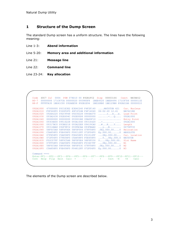#### 1 Structure of the Dump Screen

The standard Dump screen has a uniform structure. The lines have the following meaning:

- Line 1-3: Abend information
- Line 5-20: Memory area and additional information
- Line 21: Message line
- Line 22: Command line
- Line 23-24: Key allocation

```
 Code S0C7 ILC 0004 PSW 078D10 00 892B1FC2 Disp 00003166 Csect NATARI2 
 R0-7 00000006 171C87CA 00000020 093985F8 1BEE4520 1BEE4496 171C87D6 0000011E 
 R8-F FFFFFA30 1BE41C00 092AEE58 892B1E94 1BE1E8B0 1BE129B8 892B21B6 00000010 
 092A1000 47000000 D5C1E3E2 E3E4C240 F4F2F140 ....NATSTUB 421 Cur. Nucleus 
 092A1010 F0F660F0 F260F2F0 40F1F24B F4F14040 06-02-20 12.41 NAT421RE 
092A1020 092E4220 092C9948 092C8228 0944A670 ......r...b...w. Load Point
092A1030  093A2638  092E694C  092E00D8  00000000  .......<...Q....  092A1000
092A1040 00000000 00000000 093001B8 09A00F10 ................. Entry Point
092A1050 093C4E00 09516228 093A1640 09316420 ..+............. 092A1000
 092A1060 09317BC0 093BD218 093A22E8 09419CA0 ..#...K....Y.... Length 
 092A1070 09314BA8 092F9FC2 093FBCAA 093FBAA0 ...y...B........ 0075FF30 
 092A1080 58F0C5A8 58F0F0E4 58F0F004 07FF58F0 .0Ey.00U.00....0 Relocation 
 092A1090 C5A858F0 F0E458F0 F00C12FF 072F06F0 Ey.00U.00......0 ABSOLUTE 
 092A10A0 07FE58F0 C5A858F0 F0E458F0 F01012FF ...0Ey.00U.00... Cur. Location 
 092A10B0 072F06F0 07FE58F0 C5A858F0 F0E458F0 ...0...0Ey.00U.0 NATSTUB 
 092A10C0 F02C07FF 58F0C5A8 58F0F0E4 58F0F030 0....0Ey.00U.00. Slot Name 
 092A10D0 07FF58F0 C5A858F0 F0E458F0 F03407FF ...0Ey.00U.00... N1 
 092A10E0 58F0C5A8 58F0F0E4 58F0F03C 07FF58F0 .0Ey.00U.00....0 N2 
 092A10F0 C5A858F0 F0E458F0 F04812FF 072F06F0 Ey.00U.00......0 N3 
Command ===> 
 Enter-PF1---PF2---PF3---PF4---PF5---PF6---PF7---PF8---PF9---PF10--PF11--PF12--- 
 Cont Help Flip Exit Calc = -- - + Csct -H +H Canc
```
The elements of the Dump screen are described below.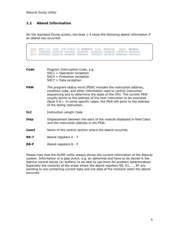#### 1.1 Abend Information

On the standard Dump screen, the lines 1-3 show the following abend information if an abend has occurred:

 Code S0C7 ILC 0004 PSW 078D10 00 9B0B8FC2 Disp 00003166 Csect NATARI2 R0-7 00000006 1345B76E 00000020 1B19F5F8 1D98A160 1D98A14E 1345B77A 00000186 R8-F FFFFFA30 1D8A2188 1B0B5E58 9B0B8E94 1D88AE38 1D87EF40 9B0B91B6 00000010

| Program Interruption Code, e.g.<br>$SOC1 = Operation$ exception<br>$SOC4 =$ Protection exception<br>$SOC7 = Data exception$                                                                                                                                                                                                                                                               |
|-------------------------------------------------------------------------------------------------------------------------------------------------------------------------------------------------------------------------------------------------------------------------------------------------------------------------------------------------------------------------------------------|
| The program-status word (PSW) includes the instruction address,<br>condition code, and other information used to control instruction<br>sequencing and to determine the state of the CPU. The current PSW<br>usually points to the address of the next instruction to be executed<br>(Byte 5-8). In some specific cases, the PSW will point to the address<br>of the failing instruction. |
| <b>Instruction Length Code</b>                                                                                                                                                                                                                                                                                                                                                            |
| Displacement between the start of the module displayed in field Csect<br>and the instruction address in the PSW.                                                                                                                                                                                                                                                                          |
| Name of the control section where the abend occurred.                                                                                                                                                                                                                                                                                                                                     |
| Abend registers 0 - 7                                                                                                                                                                                                                                                                                                                                                                     |
| Abend registers 8 - F                                                                                                                                                                                                                                                                                                                                                                     |
|                                                                                                                                                                                                                                                                                                                                                                                           |

Please note that the DUMP utility always shows the current information of the Natural system. Information of a past event, e.g. an abnormal end have to be stored in the Natural control blocks (or buffers) to be able to use them for problem determination. Especially the contents of the areas where the abend registers R0, R1, …, RF are pointing to are containing current data and not data of the moment when the abend occurred.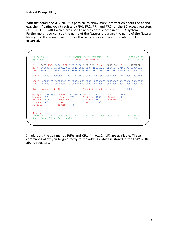With the command **ABEND** it is possible to show more information about the abend, e.g. the 4 floating-point registers (FR0, FR2, FR4 and FR6) or the 16 access registers (AR0, AR1, …, ARF) which are used to access data spaces in an ESA system. Furthermore, you can see the name of the Natural program, the name of the Natural library and the source line number that was processed when the abnormal end occurred.

```
 12:34:56 ***** NATURAL DUMP COMMAND ***** 2006-09-30 
User HGS - Abend Information - Page 1 of 1
 Code S0C7 ILC 0004 PSW 078D10 00 892B1FC2 Disp 00003166 Csect NATARI2 
 R0-7 00000006 171C87CA 00000020 093985F8 1BEE4520 1BEE4496 171C87D6 0000011E 
 R8-F FFFFFA30 1BE41C00 092AEE58 892B1E94 1BE1E8B0 1BE129B8 892B21B6 00000010 
 FR0-6 4E00000000009842 491AD27480000000 423F800000000000 4E00000000009842 
 AR0-7 00000000 00000000 00000000 00000000 00000000 00000000 00000000 00000000 
 AR8-F 00000000 00000000 00000000 00000000 00000000 00000000 00000000 00000000 
 System Abend Code (hex) 0C7 Abend Reason Code (hex) 00000000 
 Op.Sys. MVS/ESA TP-Mon. COMPLETE Device PC User HGS 
 Program A7 Library HGS Statment 0060 Level 1 
 Pf-Key ENTR InputLen 8 Dialogs 25 Errors 0 
 Command A7 *DATA 0 Last Err 0000 
 DB-Call DB/FNR 0/0 
 Command ===> 
 Enter-PF1---PF2---PF3---PF4---PF5---PF6---PF7---PF8---PF9---PF10--PF11--PF12--- 
Cont Help Flip Exit Calc Cancer Cancer Cancer Cancer Cancer Cancer Cancer Cancer Cancer Cancer Cancer Cancer Cancer
```
In addition, the commands PSW and CRn  $(n=0,1,2,...,F)$  are available. These commands allow you to go directly to the address which is stored in the PSW or the abend registers.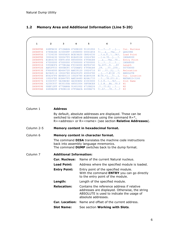# 1.2 Memory Area and Additional Information (Line 5-20)

| $\mathbf{1}$ | $\overline{2}$                      | 3 | 4                                   | 5 | 6                                                       | 7              |
|--------------|-------------------------------------|---|-------------------------------------|---|---------------------------------------------------------|----------------|
| 1B0B8FBE     |                                     |   | 448FB432 4710AB2A 4740B1D0 91101002 |   | $? \ldots ? \ldots ? \ldots j \ldots$ Cur. Nucleus      |                |
| 1B0B8FCE     |                                     |   | 4780B1B4 415000FF 14588850 00041E54 |   | $?$ $\&?$ h $\&?$ OA420RE                               |                |
| 1B0B8FDE     |                                     |   | 17334330 50005A30 BCEC4A30 CB924330 |   | $\ldots$ ? . & . $\ddot{\mathrm{U}}$ \ ?k? . Load Point |                |
| 1B0B8FEE     | 30004230 500047F0 B1B49108 100247E0 |   |                                     |   | $\dots$ ]. & . ? 0. . $\vdots$ . ? .                    | 1B0A8000       |
| 1B0B8FFE     | B1B44150 00FF1458 88500004 47F0B1B4 |   |                                     |   | $\ldots \& \ldots$ ?h& $\ldots$ ?O $\ldots$             | Entry Point    |
| 1B0B900E     |                                     |   | 47000000 47000000 47000000 47000000 |   | $? \ldots ? \ldots ? \ldots ? \ldots$                   | 1B0A8000       |
| 1B0B901E     | 5950BCF4 4770B1AA F9334000 BCF84740 |   |                                     |   | ?8.4??9. .8?                                            | Length         |
| 1B0B902E     | AAF2F933 4000BCFC 4720AAF2 47F0B1B4 |   |                                     |   | $.29.$ $.22.220.$                                       | 00764000       |
| 1B0B903E     | F9664000 BD464720 AAF29120 10024710 |   |                                     |   | $9? \ldots ?? \ldots 2 \dagger \ldots ?$                | Relocation     |
| 1B0B904E     | B23A9114 100247E0 B54291F0 40004780 |   |                                     |   | $\ldots$ i?. $\ell$   i0 .? } ABSOLUTE                  |                |
| 1B0B905E     | B54247F0 BD4E9110 10024780 B1B49108 |   |                                     |   | $[0]$ ?0.+ $\{ \ldots \}$ $\dagger$ . Cur. Location     |                |
| 1B0B906E     |                                     |   | 100247E0 B1B447F0 AAF24480 B26A1733 |   | $?\dots ?0.2?}.$ NATARI2+3166                           |                |
| 1B0B907E     | 4330C937 5A30BCEC 4A30CB92 43303000 |   |                                     |   | $?.I.\ddot{U}.\.\.\.\?k?\$ Slot Name                    |                |
| 1B0B908E     |                                     |   | 4230C937 4830100A 48501004 58F0BCE8 |   | ].I.@@&?0.Y                                             | N <sub>1</sub> |
| 1B0B909E     | ODEF12FF 4770AB6A 91401002 4710B226 |   |                                     |   | .222.012                                                | N <sub>2</sub> |
| 1B0B90AE     | 4480B288 47E0B11E 47F0AACA 4430B276 |   |                                     |   | $?$ .h??0??                                             | N <sub>3</sub> |
|              |                                     |   |                                     |   |                                                         |                |

| Column 1   | <b>Address</b>                 | By default, absolute addresses are displayed. These can be<br>switched to relative addresses using the command $R = *$ ,<br>R= <address> or R=<name> (see section Relative Addresses).</name></address> |  |  |  |
|------------|--------------------------------|---------------------------------------------------------------------------------------------------------------------------------------------------------------------------------------------------------|--|--|--|
| Column 2-5 |                                | Memory content in hexadecimal format.                                                                                                                                                                   |  |  |  |
| Column 6   |                                | Memory content in character format.                                                                                                                                                                     |  |  |  |
|            |                                | The command <b>DISA</b> translates the machine code instructions<br>back into assembly language mnemonics.<br>The command DUMP switches back to the dump format.                                        |  |  |  |
| Column 7   | <b>Additional Information:</b> |                                                                                                                                                                                                         |  |  |  |
|            | <b>Cur. Nucleus:</b>           | Name of the current Natural nucleus.                                                                                                                                                                    |  |  |  |
|            | <b>Load Point:</b>             | Address where the specified module is loaded.                                                                                                                                                           |  |  |  |
|            | <b>Entry Point:</b>            | Entry point of the specified module.<br>With the command <b>ENTRY</b> you can go directly<br>to the entry point of the module.                                                                          |  |  |  |
|            | Length:                        | Length of the specified module.                                                                                                                                                                         |  |  |  |
|            | <b>Relocation:</b>             | Contains the reference address if relative<br>addresses are displayed. Otherwise, the string<br>ABSOLUTE is used to indicate the usage of<br>absolute addresses.                                        |  |  |  |
|            | <b>Cur. Location:</b>          | Name and offset of the current address.                                                                                                                                                                 |  |  |  |
|            | <b>Slot Name:</b>              | See section Working with Slots.                                                                                                                                                                         |  |  |  |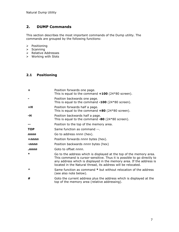# 2. DUMP Commands

This section describes the most important commands of the Dump utility. The commands are grouped by the following functions:

#### $\triangleright$  Positioning

- $\triangleright$  Scanning
- > Relative Addresses
- Working with Slots

### 2.1 Positioning

| ÷                     | Position forwards one page.<br>This is equal to the command $+100$ (24*80 screen).                                                                                                                                                                                                      |
|-----------------------|-----------------------------------------------------------------------------------------------------------------------------------------------------------------------------------------------------------------------------------------------------------------------------------------|
|                       | Position backwards one page.<br>This is equal to the command $-100$ (24*80 screen).                                                                                                                                                                                                     |
| $+H$                  | Position forwards half a page.<br>This is equal to the command $+80$ (24*80 screen).                                                                                                                                                                                                    |
| -н                    | Position backwards half a page.<br>This is equal to the command $-80$ (24*80 screen).                                                                                                                                                                                                   |
|                       | Position to the top of the memory area.                                                                                                                                                                                                                                                 |
| <b>TOP</b>            | Same function as command --.                                                                                                                                                                                                                                                            |
| nnnn                  | Go to address nnnn (hex).                                                                                                                                                                                                                                                               |
| $+nnnn$               | Position forwards nnnn bytes (hex).                                                                                                                                                                                                                                                     |
| -nnnn                 | Position backwards nnnn bytes (hex)                                                                                                                                                                                                                                                     |
| .nnnn                 | Goto to offset nnnn.                                                                                                                                                                                                                                                                    |
| ∗                     | Go to the address which is displayed at the top of the memory area.<br>This command is cursor-sensitive. Thus it is possible to go directly to<br>any address which is displayed in the memory area. If the address is<br>located in the Natural thread, its address will be relocated. |
| $\boldsymbol{\wedge}$ | Same function as command * but without relocation of the address<br>(see also note below).                                                                                                                                                                                              |
| #                     | Goto the current address plus the address which is displayed at the<br>top of the memory area (relative addressing).                                                                                                                                                                    |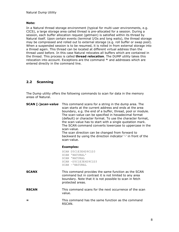#### Note:

In a Natural thread storage environment (typical for multi-user environments, e.g. CICS), a large storage area called thread is pre-allocated for a session. During a session, each buffer allocation request (getmain) is satisfied within its thread by Natural itself. Upon certain events (terminal I/Os and long waits), the thread storage may be compressed and rolled out to external storage (e.g. roll buffer or swap pool). When a suspended session is to be resumed, it is rolled in from external storage into a thread again. This thread can be located at different virtual address than the thread used before. In this case Natural relocates all buffers which are contained in the thread. This process is called thread relocation. The DUMP utility takes this relocation into account. Exceptions are the command  $\land$  and addresses which are entered directly in the command line.

#### 2.2 Scanning

The Dump utility offers the following commands to scan for data in the memory areas of Natural.

| SCAN [-]scan-value | This command scans for a string in the dump area. The<br>scan starts at the current address and ends at the area<br>boundary, e.g. the end of a buffer, thread, pool or module.<br>The scan-value can be specified in hexadecimal format<br>(default) or character format. To use the character format,<br>the scan-value has to start with a single quotation mark.<br>The SCAN command converts lowercase to uppercase in the<br>scan-value.<br>The scan direction can be changed from forward to<br>backward by using the direction indicator '-' in front of the<br>scan-value. |  |  |  |  |
|--------------------|-------------------------------------------------------------------------------------------------------------------------------------------------------------------------------------------------------------------------------------------------------------------------------------------------------------------------------------------------------------------------------------------------------------------------------------------------------------------------------------------------------------------------------------------------------------------------------------|--|--|--|--|
|                    | <b>Examples:</b>                                                                                                                                                                                                                                                                                                                                                                                                                                                                                                                                                                    |  |  |  |  |
|                    | SCAN D5C1E3E4D9C1D3<br>SCAN 'NATURAL'<br>SCAN 'NATURAL<br>SCAN -D5C1E3E4D9C1D3<br>SCAN -'NATURAL                                                                                                                                                                                                                                                                                                                                                                                                                                                                                    |  |  |  |  |
| <b>SCANX</b>       | This command provides the same function as the SCAN<br>command but in contrast it is not limited to any area<br>boundary. Note that it is not possible to scan in fetch<br>protected areas.                                                                                                                                                                                                                                                                                                                                                                                         |  |  |  |  |
| <b>RSCAN</b>       | This command scans for the next occurrence of the scan<br>value.                                                                                                                                                                                                                                                                                                                                                                                                                                                                                                                    |  |  |  |  |
|                    | This command has the same function as the command<br>RSCAN.                                                                                                                                                                                                                                                                                                                                                                                                                                                                                                                         |  |  |  |  |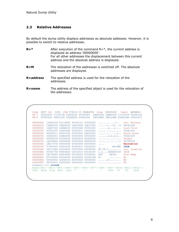#### 2.3 Relative Addresses

By default the dump utility displays addresses as absolute addesses. However, it is possible to switch to relative addresses.

| $R = *$       | After execution of the command $R = *$ , the current address is<br>displayed as address '00000000'.<br>For all other addresses the displacement between this current<br>address and the absolute address is displayed. |
|---------------|------------------------------------------------------------------------------------------------------------------------------------------------------------------------------------------------------------------------|
| $R = M$       | The relocation of the addresses is switched off. The absolute<br>addresses are displayed.                                                                                                                              |
| $R = address$ | The specified address is used for the relocation of the<br>addresses.                                                                                                                                                  |
| $R = name$    | The address of the specified object is used for the relocation of<br>the addresses.                                                                                                                                    |

 Code S0C7 ILC 0004 PSW 078D10 00 892B1FC2 Disp 00003166 Csect NATARI2 R0-7 00000006 171C87CA 00000020 093985F8 1BEE4520 1BEE4496 171C87D6 0000011E R8-F FFFFFA30 1BE41C00 092AEE58 892B1E94 1BE1E8B0 1BE129B8 892B21B6 00000010 00000000 10800128 00118000 40022101 4C000040 ........ ...<.. Cur. Nucleus 00000010 1AEB2D30 1AEA96C0 1AE16F88 1AE170F8 ......o...?h...8 NAT421RE 00000020 1AEA7658 1AEABC50 000006A9 00002000 .......&...z.... Load Point 00000030 00001F00 1ADD6580 00000931 1ADD6680 ................ 092A1000 00000040 00000011 00001C80 00000003 06A90000 ................z.. Entry Point 00000050 00000043 01BA0050 00500050 00500000 .......&.&.&.&.. 092A1000 00000060 00480018 00180000 00000018 00000000 ................ Length 00000070 1AC00000 00000000 00000000 0080067E ...............= 0075FF30 00000080 1AE17078 40404040 40404040 40400000 .... **Relocation**  00000090 07804040 40404040 4040D4C1 C9D5D4C5 .. MAINME **IOCB** 000000A0 D4F17DE8 6C006F00 05000000 00000000 M1'Y%.?......... Cur. Location 000000B0 8939C74A FE9C6AC2 C4C1C5C5 E3C3D1F5 i.G....BDAEETCJ5 IOCB 000000C0 C8C7E240 40404040 D5C1E3F4 F2404040 HGS NAT42 Slot Name 000000D0 D7C34040 40404040 A1090000 2C08030B PC ........ N1 000000E0 00000000 1A64A74C 00000000 00000000 ......x<......... N2 000000F0 00000000 00000000 00000000 00000F00 ................ N3 Command ===> **r=iocb**  $Enter-PF1---PF2---PF3---PF4---PF5---PF5---PF6---PF7---PF8---PF9---PF10---PF11--PF12---$ <br>  $Cont Help Filp Exit Calc = -- -- + Csct -H +H Canc$ Cont Help Flip Exit Calc =  $-$  -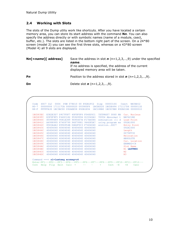#### 2.4 Working with Slots

The slots of the Dump utiliy work like shortcuts. After you have located a certain memory area, you can store its start address with the command  $Nn$ . You can also specify the address directly or with symbolic names (name of a module, csect, buffer, etc.). The slots are listed in the bottom right part of the screen. On a 24\*80 screen (model 2) you can see the first three slots, whereas on a 43\*80 screen (Model 4) all 9 slots are displayed.

| $\mathsf{N}n$ [=name][ address] | Save the address in slot $\boldsymbol{n}$ (n=1,2,3,,9) under the specified<br>name.<br>If no address is specified, the address of the current<br>displayed memory area will be taken. |
|---------------------------------|---------------------------------------------------------------------------------------------------------------------------------------------------------------------------------------|
| Pn                              | Position to the address stored in slot $\boldsymbol{n}$ (n=1,2,3,,9).                                                                                                                 |
| Dn                              | Delete slot $n (n=1,2,3,,9)$ .                                                                                                                                                        |

| Code<br>$R0-7$ | SOC7 ILC 0004 PSW 078D10 00 892B1FC2<br>00000006 171117CA 00000020 093985F8 |                                  | Disp 00003166 Csect<br>1BCDE520 1BCDE496 171117D6 | NATART <sub>2</sub><br>0000011E                                                 |
|----------------|-----------------------------------------------------------------------------|----------------------------------|---------------------------------------------------|---------------------------------------------------------------------------------|
| $R8-F$         |                                                                             |                                  |                                                   | FFFFFA30 1BC3BC00 092AEE58 892B1E94 1BC188B0 1BC0C9B8 892B21B6 00000010         |
| 1BCD83EC       | E3E2E3D7 D9C7F0F7 40F0F0F6 F040D5C1                                         |                                  |                                                   | TSTPRG07 0060 NA Cur. Nucleus                                                   |
| 1BCD83FC       | E3F0F9F5 F440C182 95969994 819340A3                                         |                                  | T0954 Abnormal t                                  | NAT421RE                                                                        |
| 1BCD840C       | 85999489 9581A389 9695407A F17A4084                                         |                                  | ermination :1: d Load Point                       |                                                                                 |
| 1BCD841C       | A4998995 87409799 96879981 944085A7                                         |                                  | uring program ex                                  | 092A1000                                                                        |
| 1BCD842C       | 8583A4A3 8996954B 04E2F0C3 F7404040                                         |                                  | ecutionSOC7                                       | Entry Point                                                                     |
| 1BCD843C       | 40404040 40404040 40404040 40404040                                         |                                  |                                                   | 092A1000                                                                        |
| 1BCD844C       | 40404040 40404040 40404040 40404040                                         |                                  |                                                   | Length                                                                          |
| 1 BCD845C      | 40404040 40404040 40404040 40404040                                         |                                  |                                                   | 0075FF30                                                                        |
| 1 BCD846C      | 40404040 40404040 40404040 40404040                                         |                                  |                                                   | Relocation                                                                      |
| 1BCD847C       | 40404040 40404040 40404040 40404040                                         |                                  |                                                   | <b>ABSOLUTE</b>                                                                 |
| 1BCD848C       | 40404040 40404040 40404040 40404040                                         |                                  |                                                   | Cur. Location                                                                   |
| 1BCD849C       | 40404040 40404040 40404040 40404040                                         |                                  |                                                   | ERRMSG+C4                                                                       |
| 1 BCD84AC      | 40404040 40404040 40404040 40404040                                         |                                  |                                                   | Slot Name                                                                       |
| 1BCD84BC       | 40404040 40404040 40404040 40404040                                         |                                  |                                                   | <b>N1 LASTMSG</b>                                                               |
| 1BCD84CC       | 40404040 40404040 40404040 40404040                                         |                                  |                                                   | N <sub>2</sub>                                                                  |
| 1BCD84DC       | 40404040 40404040 40404040 40404040                                         |                                  |                                                   | N <sub>3</sub>                                                                  |
|                | Command $==>$ n1=lastmsq errmsq+c4                                          |                                  |                                                   |                                                                                 |
|                |                                                                             |                                  |                                                   | Enter-PF1---PF2---PF3---PF4---PF5---PF6---PF7---PF8---PF9---PF10--PF11--PF12--- |
| Cont           | Help Flip Exit Calc =                                                       | $+$ $-$<br>www.communication.com | $Csct -H$                                         | $+H$<br>Canc                                                                    |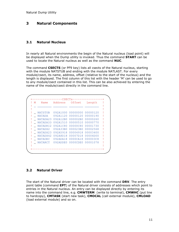## 3 Natural Components

#### 3.1 Natural Nucleus

In nearly all Natural environments the begin of the Natural nucleus (load point) will be displayed when the Dump utility is invoked. Thus the command **START** can be used to locate the Natural nucleus as well as the command NUC.

The command CSECTS (or PF9 key) lists all csects of the Natural nucleus, starting with the module NATSTUB and ending with the module NATLAST. For every module/csect, its name, address, offset (relative to the start of the nucleus) and the length is displayed. The first column of this list with the header 'M' can be used to go to any module/csect contained in this list. This can be also achieved by entering the name of the module/csect directly in the command line.

| M | Name           | Address        | Offset   | Length   |  |
|---|----------------|----------------|----------|----------|--|
|   |                |                |          |          |  |
|   | NATSTUB        | 092A1000       | 00000000 | 00000120 |  |
|   | <b>NATADA</b>  | 092A1120       | 00000120 | 00000190 |  |
|   | NATADA23       | 092A12B0       | 000002B0 | 00000260 |  |
|   | NATADAIO       | 092A1510       | 00000510 | 00000770 |  |
|   | NATADRI2       | 092A1C80       | 00000C80 | 00001730 |  |
|   | NATADX2        | 092A33B0       | 000023B0 | 00002568 |  |
|   | NATADX23       | 092A5918       | 00004918 | 00003400 |  |
|   | NATADX42       | 092A8D18       | 00007D18 | 00004D00 |  |
|   | <b>NATAOEC</b> | 092ADA18       | 0000CA18 | 000003C8 |  |
|   | NATARCT        | $092$ ADDE $0$ | 0000CDE0 | 00001078 |  |
|   |                |                |          |          |  |

#### 3.2 Natural Driver

The start of the Natural driver can be located with the command DRV. The entry point table (command EPT) of the Natural driver consists of addresses which point to entries in the Natural nucleus. An entry can be displayed directly by entering its name into the command line, e.g. CMWTERM (write to terminal), CMWHC (put line to hardcopy), CMTASK (start new task), CMOCAL (call external module), CMLOAD (load external module) and so on.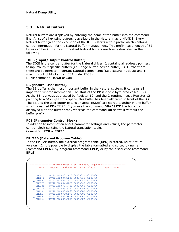#### 3.3 Natural Buffers

Natural buffers are displayed by entering the name of the buffer into the command line. A list of all existing buffers is available in the Natural macro NAMDS. Every Natural buffer (with the exception of the IOCB) starts with a prefix which contains control information for the Natural buffer management. This prefix has a length of 32 bytes (20 hex). The most important Natural buffers are briefly described in the following.

#### IOCB (Input/Output Control Buffer)

The IOCB is the central buffer for the Natural driver. It contains all address pointers to input/output specific buffers (i.e., page buffer, screen buffer, …). Furthermore there are pointers to important Natural components (i.e., Natural nucleus) and TPspecific control blocks (i.e., CSA under CICS). DUMP command: IOCB or IOB

#### BB (Natural User Buffer)

The BB buffer is the most important buffer in the Natural system. It contains all important runtime information. The start of the BB is a 512-byte area called 'CRAB'. As the BB is always addressed by Register 12, and the C-runtime needs Register 12 pointing to a 512-byte work space, this buffer has been allocated in front of the BB. The BB and the user buffer extension area (ESIZE) are stored together in one buffer which is named BB#ESIZE. If you use the command  $BB\#ESIZE$  the buffer is displayed with the buffer prefix whereas the command **BB** shows it without the buffer prefix.

#### PCB (Parameter Control Block)

In addition to information about parameter settings and values, the parameter control block contains the Natural translation tables. Command: PCB or ISIZE

#### EPLTAB (External Program Table)

In the EPLTAB buffer, the external program table (EPL) is stored. As of Natural version 4.2, it is possible to display the table formatted and sorted by name (command EPLN), by program (command EPLP) or by table sequence (command EPLS).

```
-----------Entry Points List By Entry Sequence-------
! M Name Program Address TabEntry Flags 19 Type + Mode
! _ ________ ________ ________ ________ ________ _________________ ! 
! It is a set of the set of the set of the set of the set of the set of the set of the set of the set of the s
! _ CMUB NAT421RE 093FC420 00000020 00200000 ! 
! _ CMSLFT NAT421RE 094372C0 00000038 00200000 ! 
! _ CMMPP NAT421RE 09374510 00000050 00200000 ! 
! _ CMUDEB NAT421RE 09401B20 00000068 00200000 ! 
! _ CMLIST NAT421RE 093477C0 00000080 00200000 ! 
! _ CMLIST2 NAT421RE 09348360 00000098 00200000 ! 
! _ CMRNS NAT421RE 0938E060 000000B0 00200000 ! 
! _ CMCNAM NAT421RE 092C7FF8 000000C8 00200000 ! 
! _ CMRSP NAT421RE 09348FC8 000000E0 00200000 ! 
! _ CMKCOM NAT421RE 09350E58 000000F8 00200000
! If you have a set of the set of the set of the set of the set of the set of the set of the set of the set of
+------------------------------------------------------------------+
```